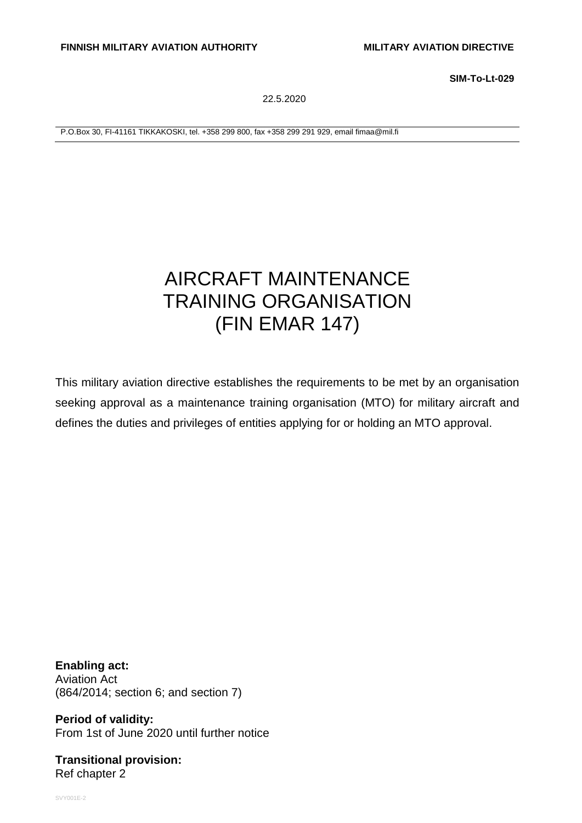**SIM-To-Lt-029**

22.5.2020

P.O.Box 30, FI-41161 TIKKAKOSKI, tel. +358 299 800, fax +358 299 291 929, email fimaa@mil.fi

# AIRCRAFT MAINTENANCE TRAINING ORGANISATION (FIN EMAR 147)

This military aviation directive establishes the requirements to be met by an organisation seeking approval as a maintenance training organisation (MTO) for military aircraft and defines the duties and privileges of entities applying for or holding an MTO approval.

**Enabling act:** Aviation Act (864/2014; section 6; and section 7)

**Period of validity:** From 1st of June 2020 until further notice

**Transitional provision:** Ref chapter 2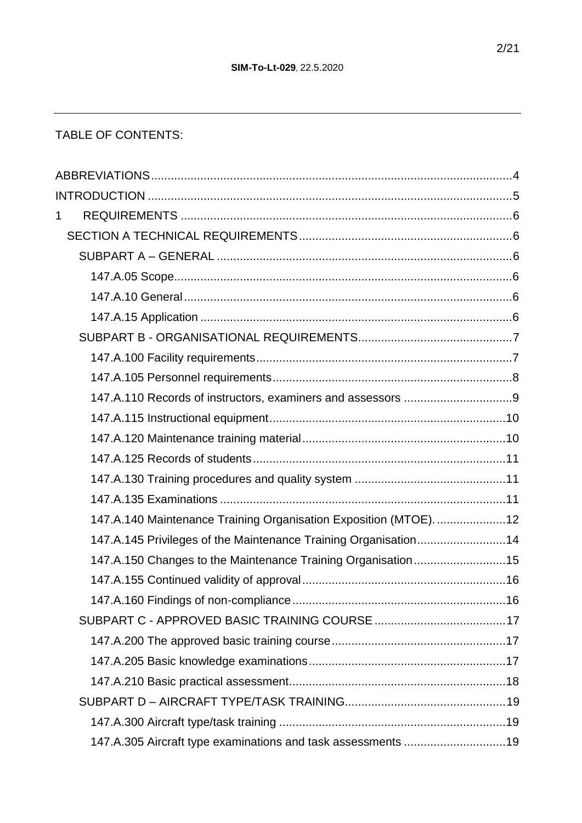# TABLE OF CONTENTS:

| 1                                                                 |  |
|-------------------------------------------------------------------|--|
|                                                                   |  |
|                                                                   |  |
|                                                                   |  |
|                                                                   |  |
|                                                                   |  |
|                                                                   |  |
|                                                                   |  |
|                                                                   |  |
|                                                                   |  |
|                                                                   |  |
|                                                                   |  |
|                                                                   |  |
|                                                                   |  |
|                                                                   |  |
| 147.A.140 Maintenance Training Organisation Exposition (MTOE). 12 |  |
| 147.A.145 Privileges of the Maintenance Training Organisation14   |  |
| 147.A.150 Changes to the Maintenance Training Organisation15      |  |
|                                                                   |  |
|                                                                   |  |
|                                                                   |  |
|                                                                   |  |
|                                                                   |  |
|                                                                   |  |
|                                                                   |  |
|                                                                   |  |
| 147.A.305 Aircraft type examinations and task assessments 19      |  |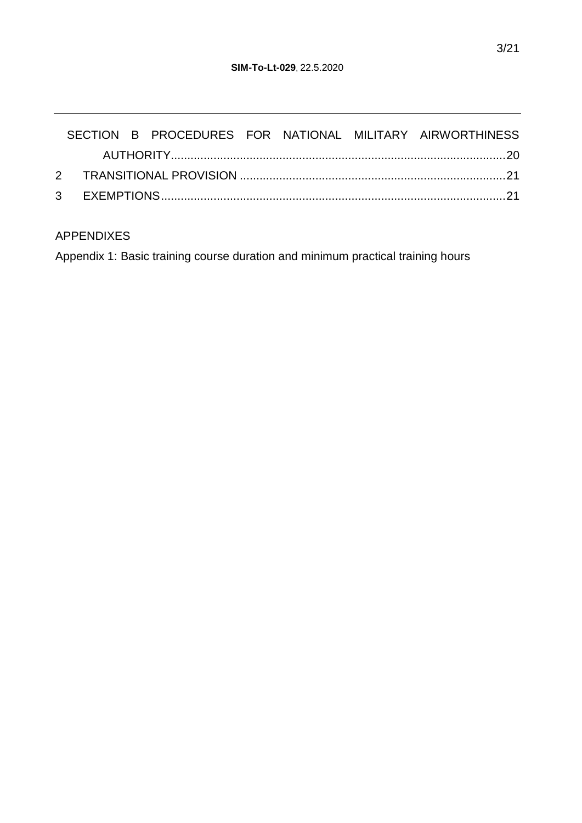| SECTION B PROCEDURES FOR NATIONAL MILITARY AIRWORTHINESS |  |  |  |
|----------------------------------------------------------|--|--|--|
|                                                          |  |  |  |
|                                                          |  |  |  |
|                                                          |  |  |  |

# APPENDIXES

Appendix 1: Basic training course duration and minimum practical training hours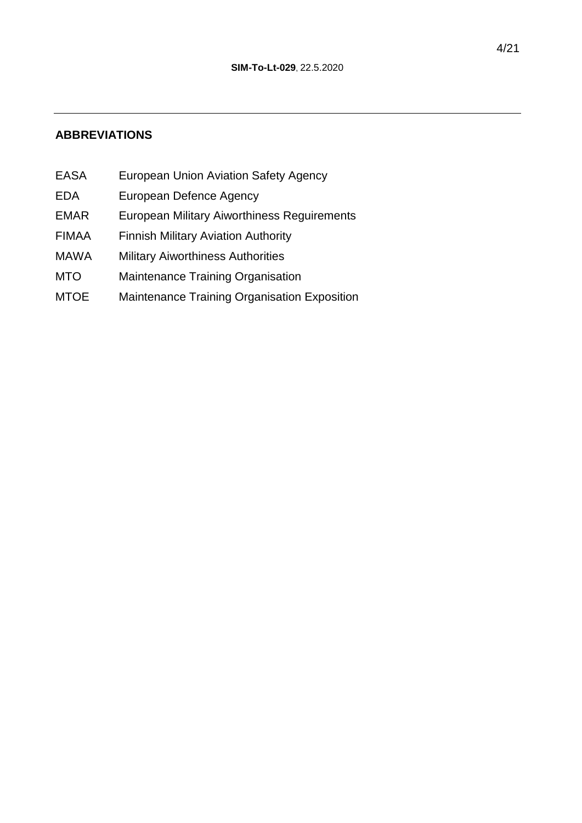## <span id="page-3-0"></span>**ABBREVIATIONS**

- EASA European Union Aviation Safety Agency
- EDA European Defence Agency
- EMAR European Military Aiworthiness Reguirements
- FIMAA Finnish Military Aviation Authority
- MAWA Military Aiworthiness Authorities
- MTO Maintenance Training Organisation
- MTOE Maintenance Training Organisation Exposition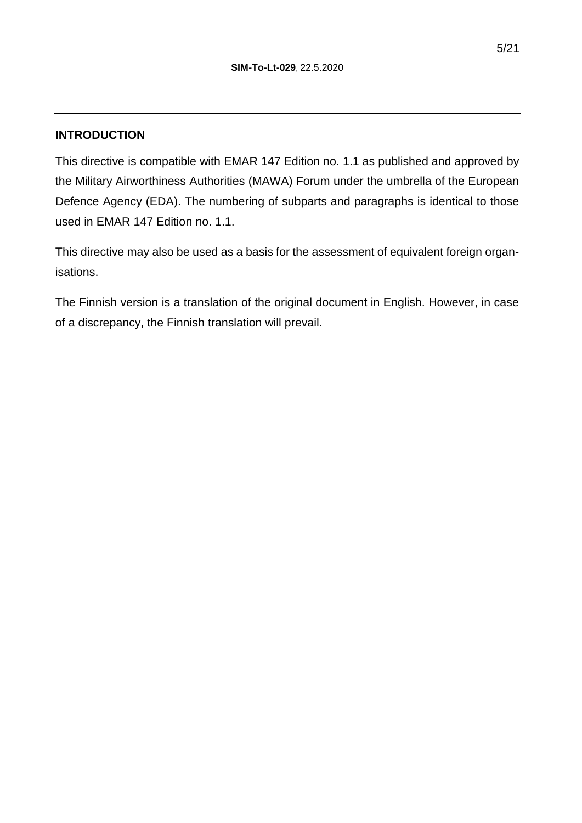#### <span id="page-4-0"></span>**INTRODUCTION**

This directive is compatible with EMAR 147 Edition no. 1.1 as published and approved by the Military Airworthiness Authorities (MAWA) Forum under the umbrella of the European Defence Agency (EDA). The numbering of subparts and paragraphs is identical to those used in EMAR 147 Edition no. 1.1.

This directive may also be used as a basis for the assessment of equivalent foreign organisations.

The Finnish version is a translation of the original document in English. However, in case of a discrepancy, the Finnish translation will prevail.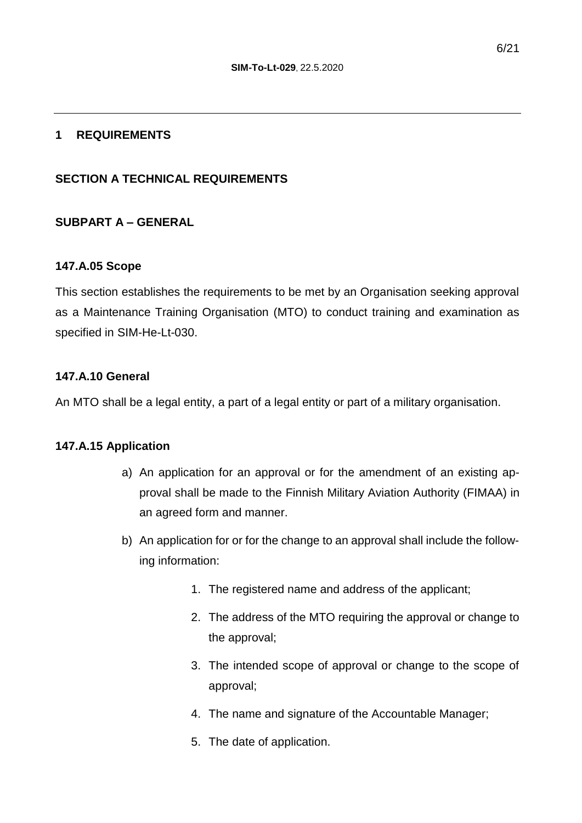#### <span id="page-5-1"></span><span id="page-5-0"></span>**1 REQUIREMENTS**

#### <span id="page-5-2"></span>**SECTION A TECHNICAL REQUIREMENTS**

## <span id="page-5-3"></span>**SUBPART A – GENERAL**

#### **147.A.05 Scope**

This section establishes the requirements to be met by an Organisation seeking approval as a Maintenance Training Organisation (MTO) to conduct training and examination as specified in SIM-He-Lt-030.

#### <span id="page-5-4"></span>**147.A.10 General**

An MTO shall be a legal entity, a part of a legal entity or part of a military organisation.

#### <span id="page-5-5"></span>**147.A.15 Application**

- a) An application for an approval or for the amendment of an existing approval shall be made to the Finnish Military Aviation Authority (FIMAA) in an agreed form and manner.
- b) An application for or for the change to an approval shall include the following information:
	- 1. The registered name and address of the applicant;
	- 2. The address of the MTO requiring the approval or change to the approval;
	- 3. The intended scope of approval or change to the scope of approval;
	- 4. The name and signature of the Accountable Manager;
	- 5. The date of application.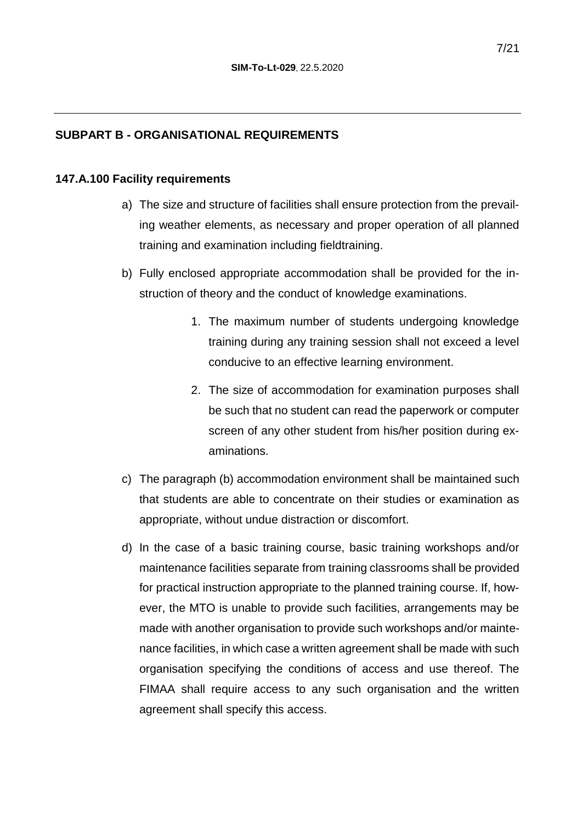## <span id="page-6-1"></span><span id="page-6-0"></span>**SUBPART B - ORGANISATIONAL REQUIREMENTS**

#### **147.A.100 Facility requirements**

- a) The size and structure of facilities shall ensure protection from the prevailing weather elements, as necessary and proper operation of all planned training and examination including fieldtraining.
- b) Fully enclosed appropriate accommodation shall be provided for the instruction of theory and the conduct of knowledge examinations.
	- 1. The maximum number of students undergoing knowledge training during any training session shall not exceed a level conducive to an effective learning environment.
	- 2. The size of accommodation for examination purposes shall be such that no student can read the paperwork or computer screen of any other student from his/her position during examinations.
- c) The paragraph (b) accommodation environment shall be maintained such that students are able to concentrate on their studies or examination as appropriate, without undue distraction or discomfort.
- d) In the case of a basic training course, basic training workshops and/or maintenance facilities separate from training classrooms shall be provided for practical instruction appropriate to the planned training course. If, however, the MTO is unable to provide such facilities, arrangements may be made with another organisation to provide such workshops and/or maintenance facilities, in which case a written agreement shall be made with such organisation specifying the conditions of access and use thereof. The FIMAA shall require access to any such organisation and the written agreement shall specify this access.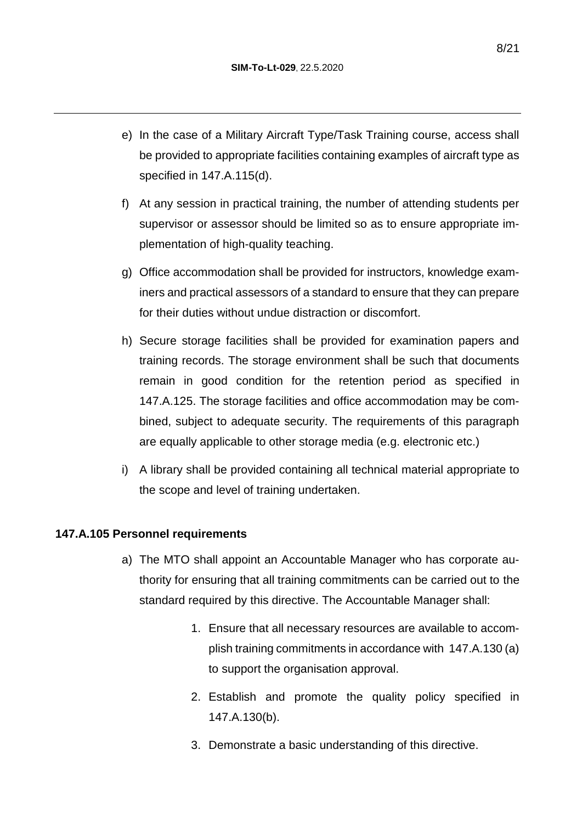- e) In the case of a Military Aircraft Type/Task Training course, access shall be provided to appropriate facilities containing examples of aircraft type as specified in 147.A.115(d).
- f) At any session in practical training, the number of attending students per supervisor or assessor should be limited so as to ensure appropriate implementation of high-quality teaching.
- g) Office accommodation shall be provided for instructors, knowledge examiners and practical assessors of a standard to ensure that they can prepare for their duties without undue distraction or discomfort.
- h) Secure storage facilities shall be provided for examination papers and training records. The storage environment shall be such that documents remain in good condition for the retention period as specified in 147.A.125. The storage facilities and office accommodation may be combined, subject to adequate security. The requirements of this paragraph are equally applicable to other storage media (e.g. electronic etc.)
- i) A library shall be provided containing all technical material appropriate to the scope and level of training undertaken.

## <span id="page-7-0"></span>**147.A.105 Personnel requirements**

- a) The MTO shall appoint an Accountable Manager who has corporate authority for ensuring that all training commitments can be carried out to the standard required by this directive. The Accountable Manager shall:
	- 1. Ensure that all necessary resources are available to accomplish training commitments in accordance with 147.A.130 (a) to support the organisation approval.
	- 2. Establish and promote the quality policy specified in 147.A.130(b).
	- 3. Demonstrate a basic understanding of this directive.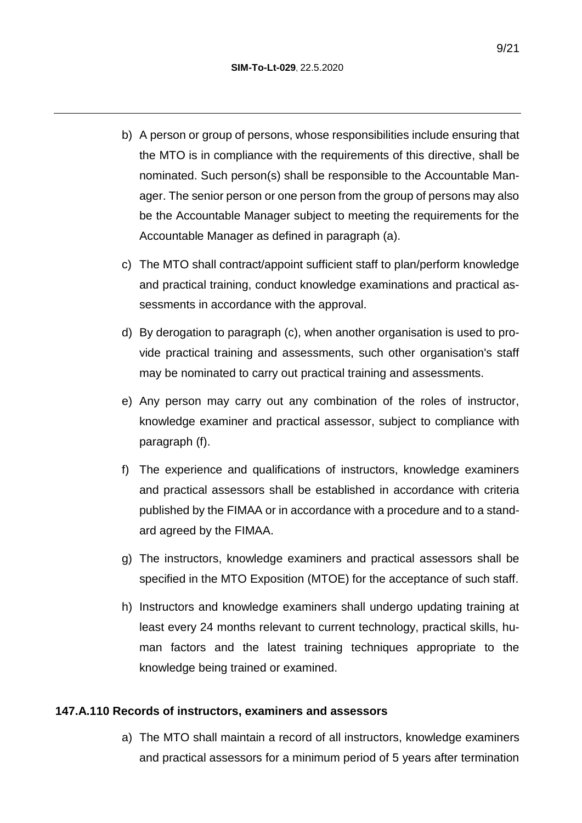- b) A person or group of persons, whose responsibilities include ensuring that the MTO is in compliance with the requirements of this directive, shall be nominated. Such person(s) shall be responsible to the Accountable Manager. The senior person or one person from the group of persons may also be the Accountable Manager subject to meeting the requirements for the Accountable Manager as defined in paragraph (a).
- c) The MTO shall contract/appoint sufficient staff to plan/perform knowledge and practical training, conduct knowledge examinations and practical assessments in accordance with the approval.
- d) By derogation to paragraph (c), when another organisation is used to provide practical training and assessments, such other organisation's staff may be nominated to carry out practical training and assessments.
- e) Any person may carry out any combination of the roles of instructor, knowledge examiner and practical assessor, subject to compliance with paragraph (f).
- f) The experience and qualifications of instructors, knowledge examiners and practical assessors shall be established in accordance with criteria published by the FIMAA or in accordance with a procedure and to a standard agreed by the FIMAA.
- g) The instructors, knowledge examiners and practical assessors shall be specified in the MTO Exposition (MTOE) for the acceptance of such staff.
- h) Instructors and knowledge examiners shall undergo updating training at least every 24 months relevant to current technology, practical skills, human factors and the latest training techniques appropriate to the knowledge being trained or examined.

## <span id="page-8-0"></span>**147.A.110 Records of instructors, examiners and assessors**

a) The MTO shall maintain a record of all instructors, knowledge examiners and practical assessors for a minimum period of 5 years after termination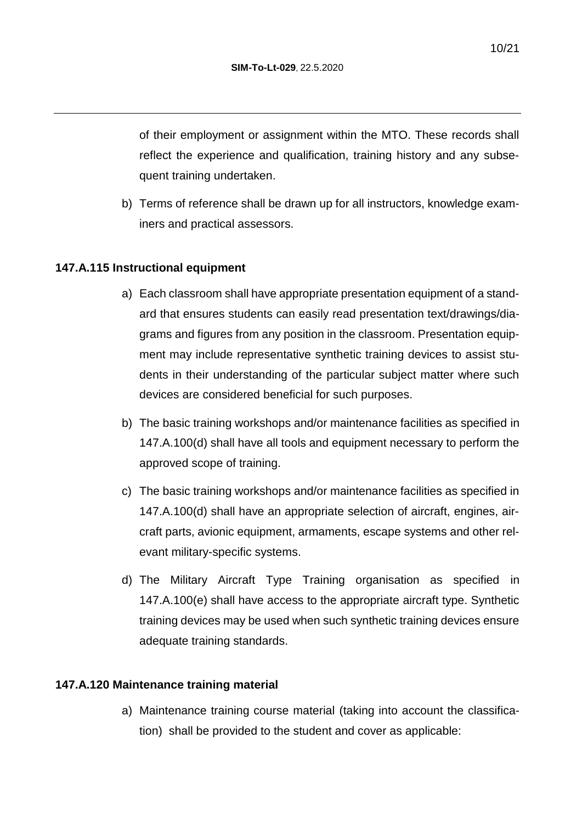of their employment or assignment within the MTO. These records shall reflect the experience and qualification, training history and any subsequent training undertaken.

b) Terms of reference shall be drawn up for all instructors, knowledge examiners and practical assessors.

## <span id="page-9-0"></span>**147.A.115 Instructional equipment**

- a) Each classroom shall have appropriate presentation equipment of a standard that ensures students can easily read presentation text/drawings/diagrams and figures from any position in the classroom. Presentation equipment may include representative synthetic training devices to assist students in their understanding of the particular subject matter where such devices are considered beneficial for such purposes.
- b) The basic training workshops and/or maintenance facilities as specified in 147.A.100(d) shall have all tools and equipment necessary to perform the approved scope of training.
- c) The basic training workshops and/or maintenance facilities as specified in 147.A.100(d) shall have an appropriate selection of aircraft, engines, aircraft parts, avionic equipment, armaments, escape systems and other relevant military-specific systems.
- d) The Military Aircraft Type Training organisation as specified in 147.A.100(e) shall have access to the appropriate aircraft type. Synthetic training devices may be used when such synthetic training devices ensure adequate training standards.

#### <span id="page-9-1"></span>**147.A.120 Maintenance training material**

a) Maintenance training course material (taking into account the classification) shall be provided to the student and cover as applicable: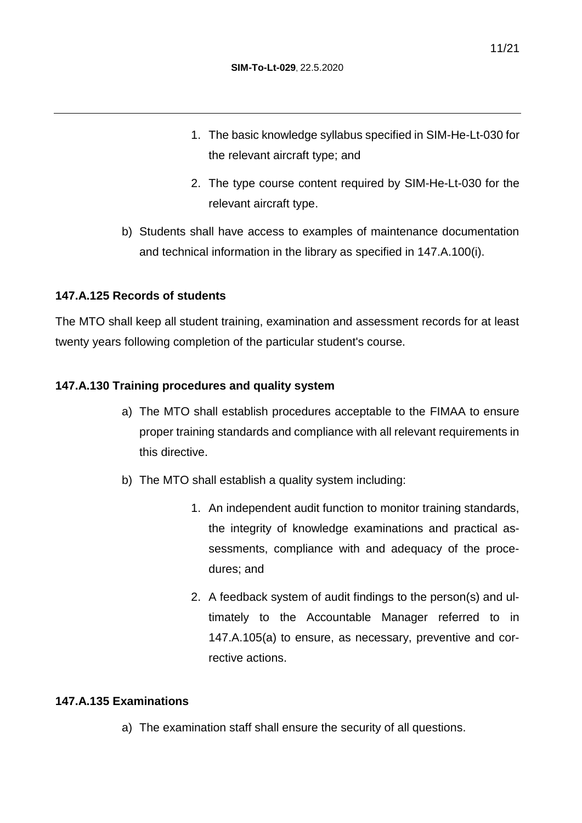- 1. The basic knowledge syllabus specified in SIM-He-Lt-030 for the relevant aircraft type; and
- 2. The type course content required by SIM-He-Lt-030 for the relevant aircraft type.
- b) Students shall have access to examples of maintenance documentation and technical information in the library as specified in 147.A.100(i).

# <span id="page-10-0"></span>**147.A.125 Records of students**

The MTO shall keep all student training, examination and assessment records for at least twenty years following completion of the particular student's course.

## <span id="page-10-1"></span>**147.A.130 Training procedures and quality system**

- a) The MTO shall establish procedures acceptable to the FIMAA to ensure proper training standards and compliance with all relevant requirements in this directive.
- b) The MTO shall establish a quality system including:
	- 1. An independent audit function to monitor training standards, the integrity of knowledge examinations and practical assessments, compliance with and adequacy of the procedures; and
	- 2. A feedback system of audit findings to the person(s) and ultimately to the Accountable Manager referred to in 147.A.105(a) to ensure, as necessary, preventive and corrective actions.

## <span id="page-10-2"></span>**147.A.135 Examinations**

a) The examination staff shall ensure the security of all questions.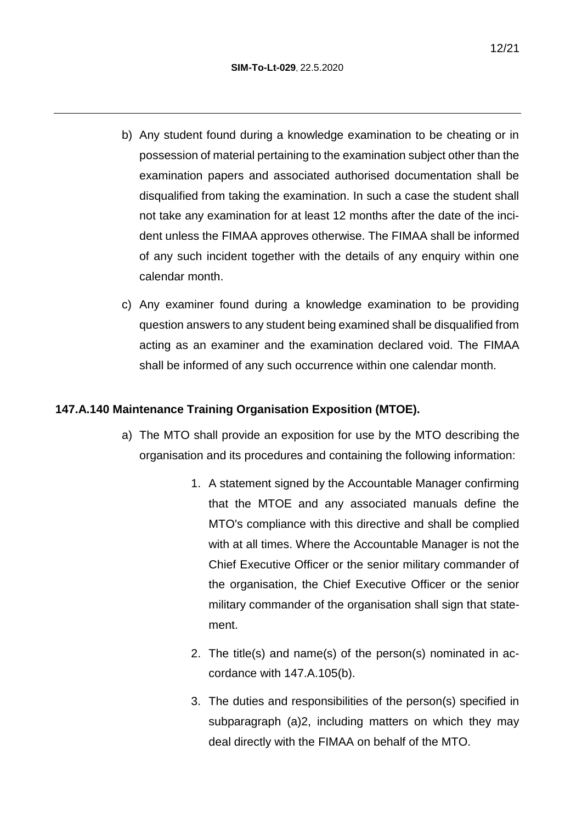- b) Any student found during a knowledge examination to be cheating or in possession of material pertaining to the examination subject other than the examination papers and associated authorised documentation shall be disqualified from taking the examination. In such a case the student shall not take any examination for at least 12 months after the date of the incident unless the FIMAA approves otherwise. The FIMAA shall be informed of any such incident together with the details of any enquiry within one calendar month.
- c) Any examiner found during a knowledge examination to be providing question answers to any student being examined shall be disqualified from acting as an examiner and the examination declared void. The FIMAA shall be informed of any such occurrence within one calendar month.

## <span id="page-11-0"></span>**147.A.140 Maintenance Training Organisation Exposition (MTOE).**

- a) The MTO shall provide an exposition for use by the MTO describing the organisation and its procedures and containing the following information:
	- 1. A statement signed by the Accountable Manager confirming that the MTOE and any associated manuals define the MTO's compliance with this directive and shall be complied with at all times. Where the Accountable Manager is not the Chief Executive Officer or the senior military commander of the organisation, the Chief Executive Officer or the senior military commander of the organisation shall sign that statement.
	- 2. The title(s) and name(s) of the person(s) nominated in accordance with 147.A.105(b).
	- 3. The duties and responsibilities of the person(s) specified in subparagraph (a)2, including matters on which they may deal directly with the FIMAA on behalf of the MTO.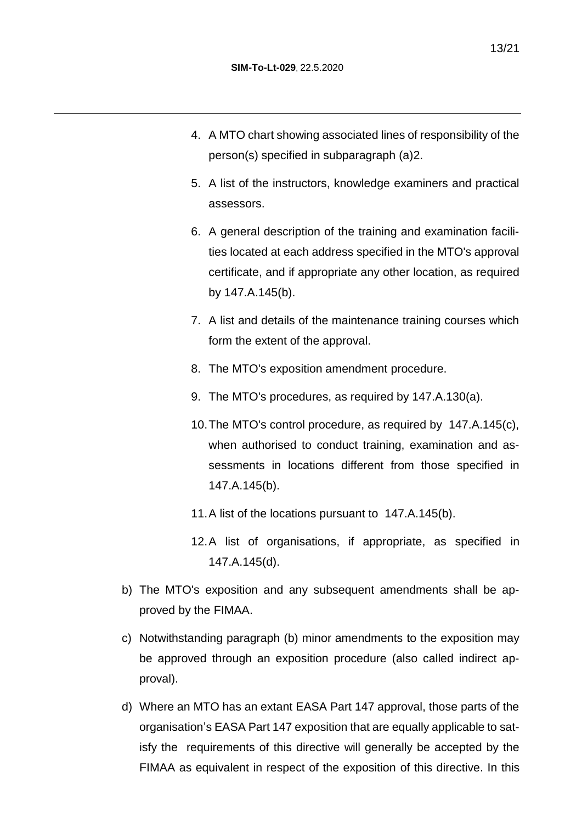- 4. A MTO chart showing associated lines of responsibility of the person(s) specified in subparagraph (a)2.
- 5. A list of the instructors, knowledge examiners and practical assessors.
- 6. A general description of the training and examination facilities located at each address specified in the MTO's approval certificate, and if appropriate any other location, as required by 147.A.145(b).
- 7. A list and details of the maintenance training courses which form the extent of the approval.
- 8. The MTO's exposition amendment procedure.
- 9. The MTO's procedures, as required by 147.A.130(a).
- 10.The MTO's control procedure, as required by 147.A.145(c), when authorised to conduct training, examination and assessments in locations different from those specified in 147.A.145(b).
- 11.A list of the locations pursuant to 147.A.145(b).
- 12.A list of organisations, if appropriate, as specified in 147.A.145(d).
- b) The MTO's exposition and any subsequent amendments shall be approved by the FIMAA.
- c) Notwithstanding paragraph (b) minor amendments to the exposition may be approved through an exposition procedure (also called indirect approval).
- d) Where an MTO has an extant EASA Part 147 approval, those parts of the organisation's EASA Part 147 exposition that are equally applicable to satisfy the requirements of this directive will generally be accepted by the FIMAA as equivalent in respect of the exposition of this directive. In this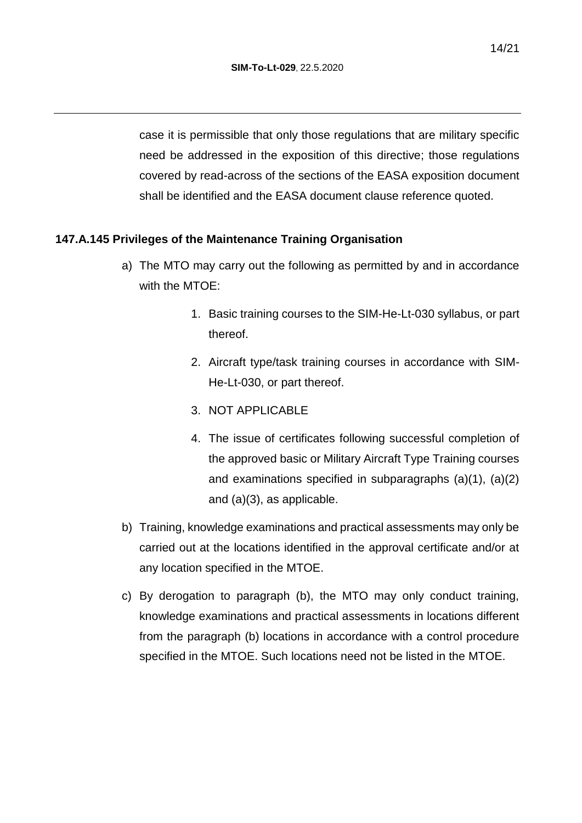case it is permissible that only those regulations that are military specific need be addressed in the exposition of this directive; those regulations covered by read-across of the sections of the EASA exposition document shall be identified and the EASA document clause reference quoted.

## <span id="page-13-0"></span>**147.A.145 Privileges of the Maintenance Training Organisation**

- a) The MTO may carry out the following as permitted by and in accordance with the MTOE:
	- 1. Basic training courses to the SIM-He-Lt-030 syllabus, or part thereof.
	- 2. Aircraft type/task training courses in accordance with SIM-He-Lt-030, or part thereof.
	- 3. NOT APPLICABLE
	- 4. The issue of certificates following successful completion of the approved basic or Military Aircraft Type Training courses and examinations specified in subparagraphs (a)(1), (a)(2) and (a)(3), as applicable.
- b) Training, knowledge examinations and practical assessments may only be carried out at the locations identified in the approval certificate and/or at any location specified in the MTOE.
- c) By derogation to paragraph (b), the MTO may only conduct training, knowledge examinations and practical assessments in locations different from the paragraph (b) locations in accordance with a control procedure specified in the MTOE. Such locations need not be listed in the MTOE.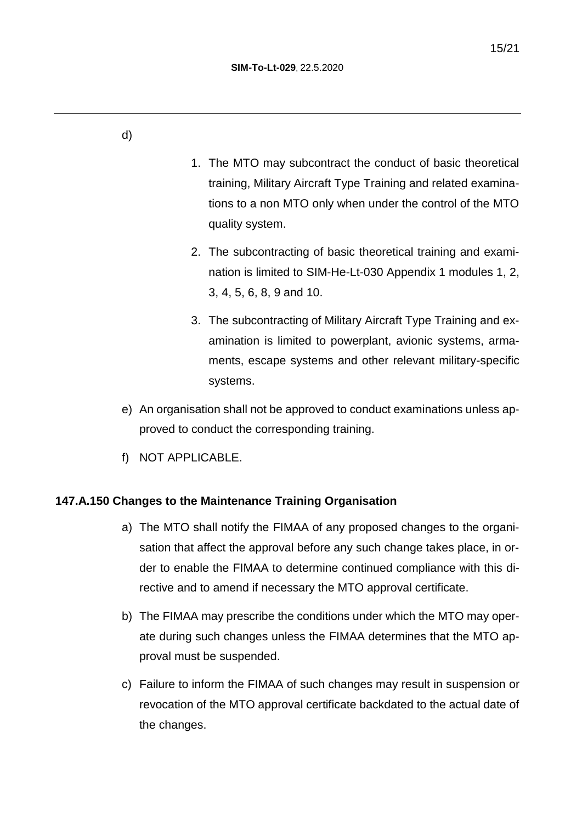- 1. The MTO may subcontract the conduct of basic theoretical training, Military Aircraft Type Training and related examinations to a non MTO only when under the control of the MTO quality system.
- 2. The subcontracting of basic theoretical training and examination is limited to SIM-He-Lt-030 Appendix 1 modules 1, 2, 3, 4, 5, 6, 8, 9 and 10.
- 3. The subcontracting of Military Aircraft Type Training and examination is limited to powerplant, avionic systems, armaments, escape systems and other relevant military-specific systems.
- e) An organisation shall not be approved to conduct examinations unless approved to conduct the corresponding training.
- f) NOT APPLICABLE.

# <span id="page-14-0"></span>**147.A.150 Changes to the Maintenance Training Organisation**

- a) The MTO shall notify the FIMAA of any proposed changes to the organisation that affect the approval before any such change takes place, in order to enable the FIMAA to determine continued compliance with this directive and to amend if necessary the MTO approval certificate.
- b) The FIMAA may prescribe the conditions under which the MTO may operate during such changes unless the FIMAA determines that the MTO approval must be suspended.
- c) Failure to inform the FIMAA of such changes may result in suspension or revocation of the MTO approval certificate backdated to the actual date of the changes.

d)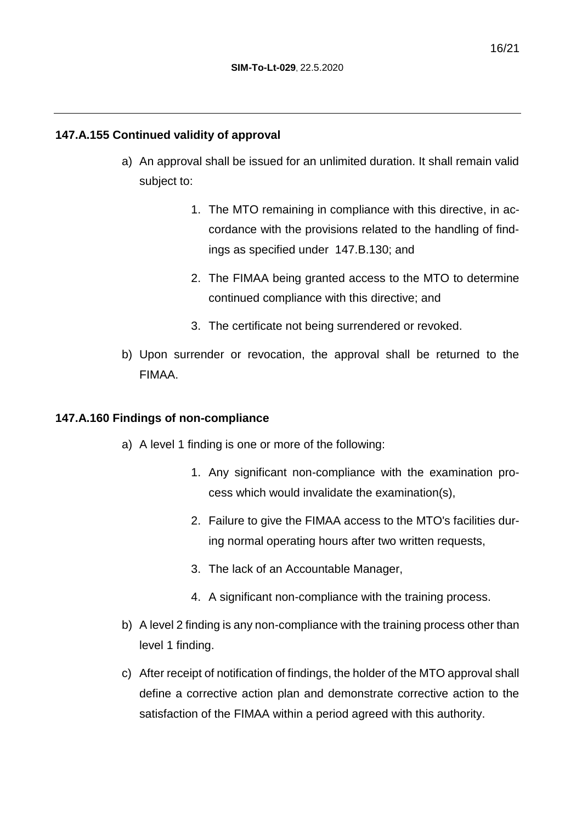#### <span id="page-15-0"></span>**147.A.155 Continued validity of approval**

- a) An approval shall be issued for an unlimited duration. It shall remain valid subject to:
	- 1. The MTO remaining in compliance with this directive, in accordance with the provisions related to the handling of findings as specified under 147.B.130; and
	- 2. The FIMAA being granted access to the MTO to determine continued compliance with this directive; and
	- 3. The certificate not being surrendered or revoked.
- b) Upon surrender or revocation, the approval shall be returned to the FIMAA.

#### <span id="page-15-1"></span>**147.A.160 Findings of non-compliance**

- a) A level 1 finding is one or more of the following:
	- 1. Any significant non-compliance with the examination process which would invalidate the examination(s),
	- 2. Failure to give the FIMAA access to the MTO's facilities during normal operating hours after two written requests,
	- 3. The lack of an Accountable Manager,
	- 4. A significant non-compliance with the training process.
- b) A level 2 finding is any non-compliance with the training process other than level 1 finding.
- c) After receipt of notification of findings, the holder of the MTO approval shall define a corrective action plan and demonstrate corrective action to the satisfaction of the FIMAA within a period agreed with this authority.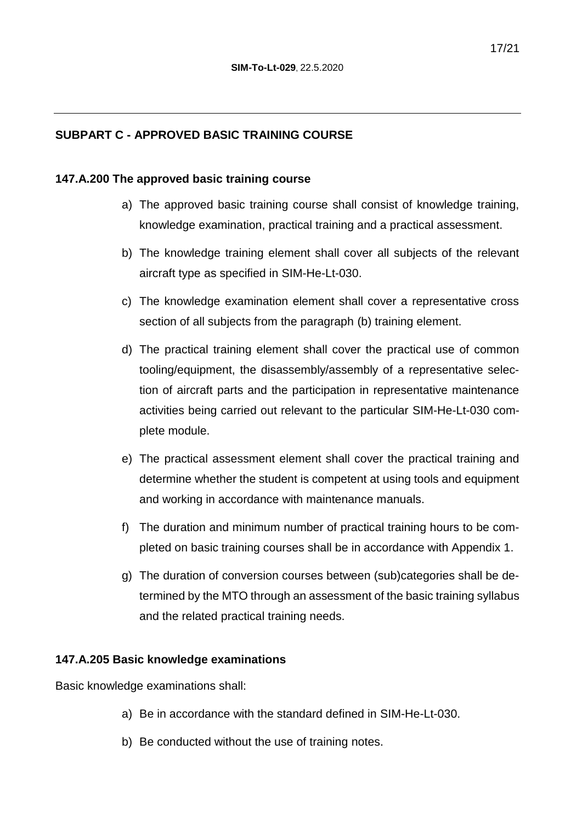## <span id="page-16-1"></span><span id="page-16-0"></span>**SUBPART C - APPROVED BASIC TRAINING COURSE**

#### **147.A.200 The approved basic training course**

- a) The approved basic training course shall consist of knowledge training, knowledge examination, practical training and a practical assessment.
- b) The knowledge training element shall cover all subjects of the relevant aircraft type as specified in SIM-He-Lt-030.
- c) The knowledge examination element shall cover a representative cross section of all subjects from the paragraph (b) training element.
- d) The practical training element shall cover the practical use of common tooling/equipment, the disassembly/assembly of a representative selection of aircraft parts and the participation in representative maintenance activities being carried out relevant to the particular SIM-He-Lt-030 complete module.
- e) The practical assessment element shall cover the practical training and determine whether the student is competent at using tools and equipment and working in accordance with maintenance manuals.
- f) The duration and minimum number of practical training hours to be completed on basic training courses shall be in accordance with Appendix 1.
- g) The duration of conversion courses between (sub)categories shall be determined by the MTO through an assessment of the basic training syllabus and the related practical training needs.

#### <span id="page-16-2"></span>**147.A.205 Basic knowledge examinations**

Basic knowledge examinations shall:

- a) Be in accordance with the standard defined in SIM-He-Lt-030.
- b) Be conducted without the use of training notes.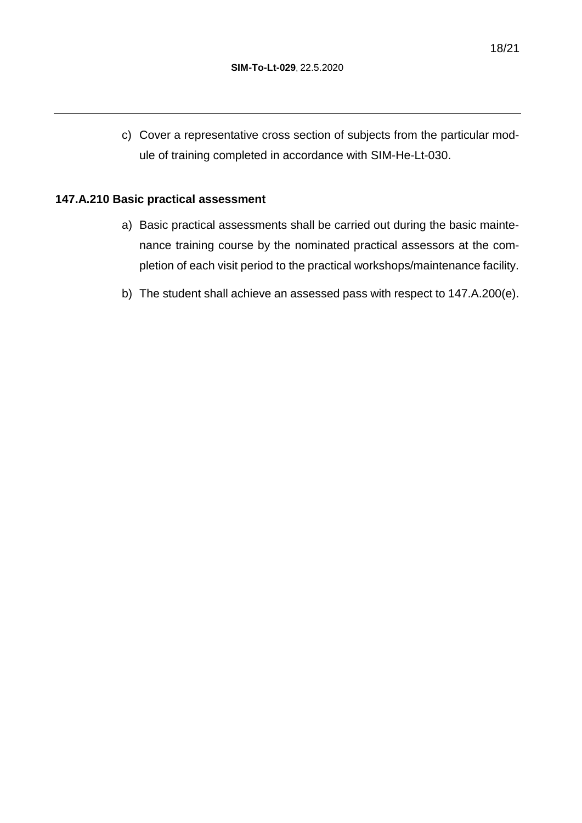c) Cover a representative cross section of subjects from the particular module of training completed in accordance with SIM-He-Lt-030.

## <span id="page-17-0"></span>**147.A.210 Basic practical assessment**

- a) Basic practical assessments shall be carried out during the basic maintenance training course by the nominated practical assessors at the completion of each visit period to the practical workshops/maintenance facility.
- b) The student shall achieve an assessed pass with respect to 147.A.200(e).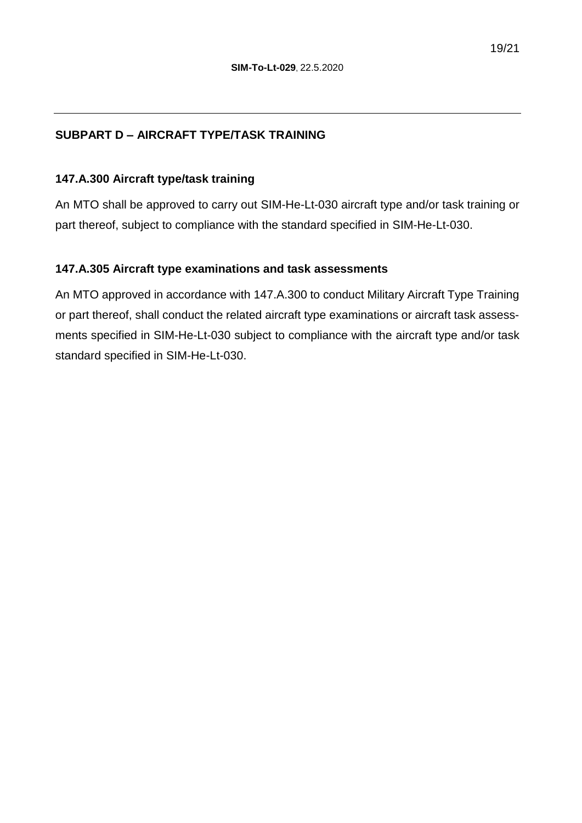# <span id="page-18-1"></span><span id="page-18-0"></span>**SUBPART D – AIRCRAFT TYPE/TASK TRAINING**

#### **147.A.300 Aircraft type/task training**

An MTO shall be approved to carry out SIM-He-Lt-030 aircraft type and/or task training or part thereof, subject to compliance with the standard specified in SIM-He-Lt-030.

## <span id="page-18-2"></span>**147.A.305 Aircraft type examinations and task assessments**

An MTO approved in accordance with 147.A.300 to conduct Military Aircraft Type Training or part thereof, shall conduct the related aircraft type examinations or aircraft task assessments specified in SIM-He-Lt-030 subject to compliance with the aircraft type and/or task standard specified in SIM-He-Lt-030.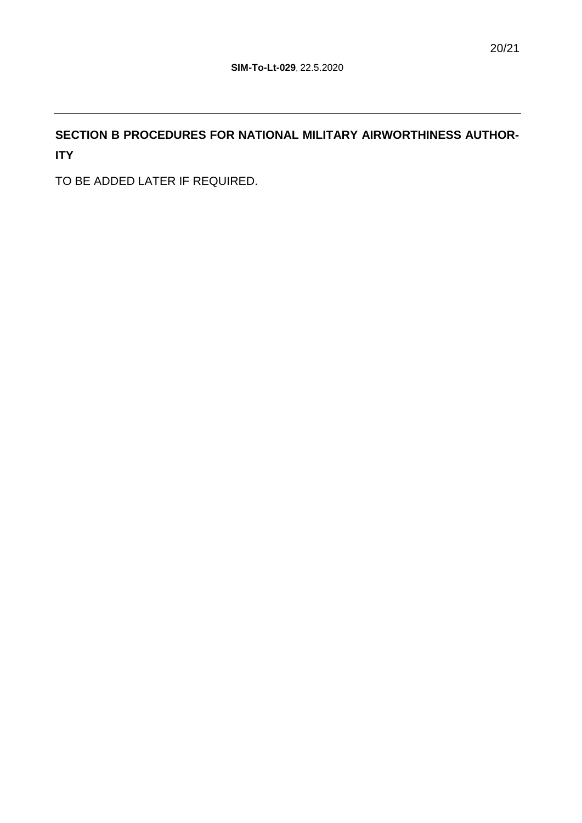<span id="page-19-0"></span>**SECTION B PROCEDURES FOR NATIONAL MILITARY AIRWORTHINESS AUTHOR-ITY**

TO BE ADDED LATER IF REQUIRED.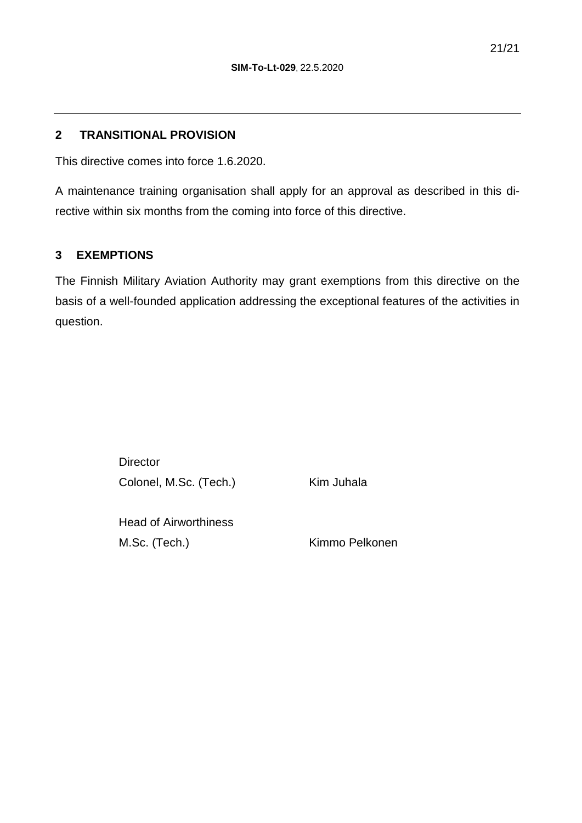## <span id="page-20-0"></span>**2 TRANSITIONAL PROVISION**

This directive comes into force 1.6.2020.

A maintenance training organisation shall apply for an approval as described in this directive within six months from the coming into force of this directive.

## <span id="page-20-1"></span>**3 EXEMPTIONS**

The Finnish Military Aviation Authority may grant exemptions from this directive on the basis of a well-founded application addressing the exceptional features of the activities in question.

> **Director** Colonel, M.Sc. (Tech.) Kim Juhala

Head of Airworthiness M.Sc. (Tech.) Kimmo Pelkonen